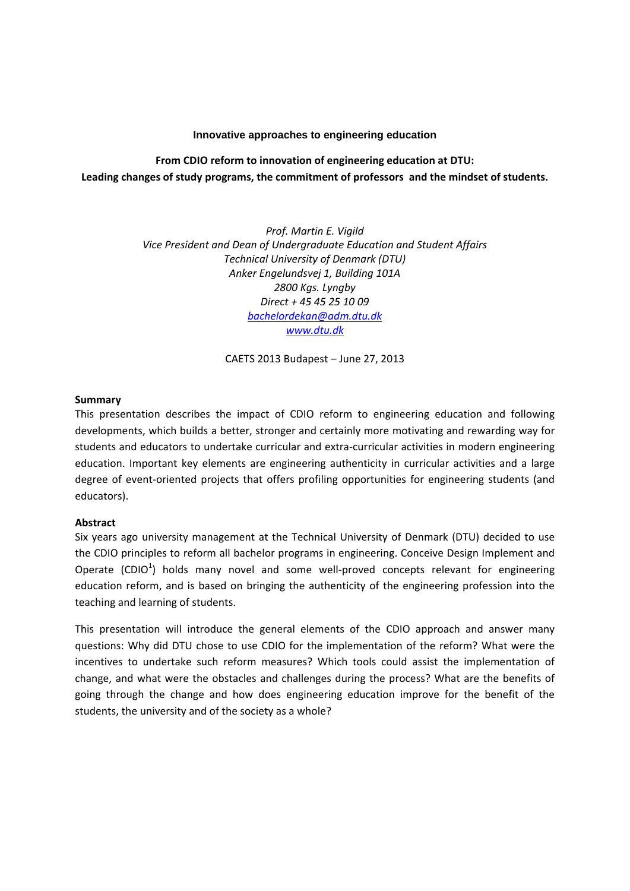## **Innovative approaches to engineering education**

**From CDIO reform to innovation of engineering education at DTU: Leading changes of study programs, the commitment of professors and the mindset of students.**

> *Prof. Martin E. Vigild Vice President and Dean of Undergraduate Education and Student Affairs Technical University of Denmark (DTU) Anker Engelundsvej 1, Building 101A 2800 Kgs. Lyngby Direct + 45 45 25 10 09 bachelordekan@adm.dtu.dk www.dtu.dk*

> > CAETS 2013 Budapest – June 27, 2013

# **Summary**

This presentation describes the impact of CDIO reform to engineering education and following developments, which builds a better, stronger and certainly more motivating and rewarding way for students and educators to undertake curricular and extra‐curricular activities in modern engineering education. Important key elements are engineering authenticity in curricular activities and a large degree of event-oriented projects that offers profiling opportunities for engineering students (and educators).

# **Abstract**

Six years ago university management at the Technical University of Denmark (DTU) decided to use the CDIO principles to reform all bachelor programs in engineering. Conceive Design Implement and Operate (CDIO<sup>1</sup>) holds many novel and some well-proved concepts relevant for engineering education reform, and is based on bringing the authenticity of the engineering profession into the teaching and learning of students.

This presentation will introduce the general elements of the CDIO approach and answer many questions: Why did DTU chose to use CDIO for the implementation of the reform? What were the incentives to undertake such reform measures? Which tools could assist the implementation of change, and what were the obstacles and challenges during the process? What are the benefits of going through the change and how does engineering education improve for the benefit of the students, the university and of the society as a whole?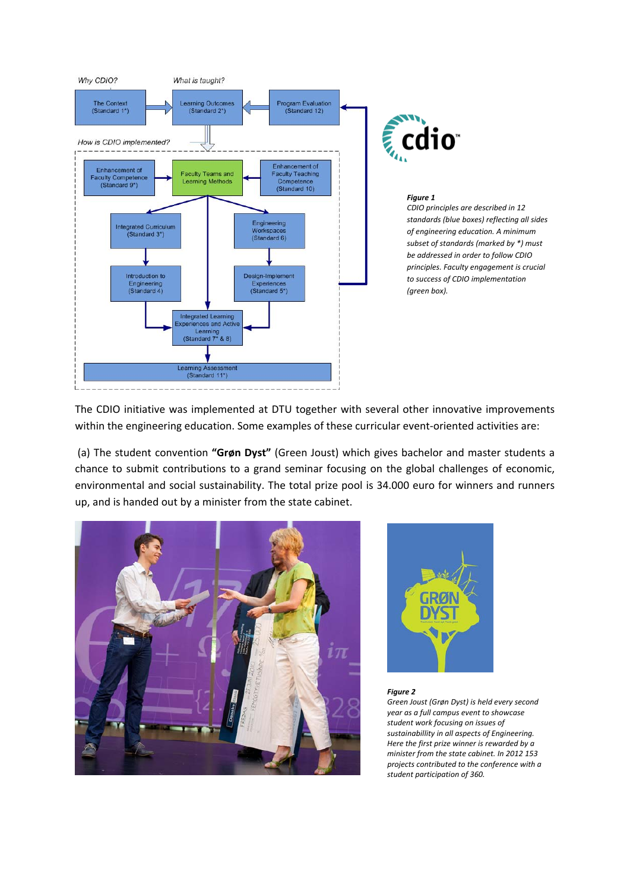

*CDIO principles are described in 12 standards (blue boxes) reflecting all sides of engineering education. A minimum subset of standards (marked by \*) must be addressed in order to follow CDIO principles. Faculty engagement is crucial to success of CDIO implementation*

The CDIO initiative was implemented at DTU together with several other innovative improvements within the engineering education. Some examples of these curricular event-oriented activities are:

(a) The student convention **"Grøn Dyst"** (Green Joust) which gives bachelor and master students a chance to submit contributions to a grand seminar focusing on the global challenges of economic, environmental and social sustainability. The total prize pool is 34.000 euro for winners and runners up, and is handed out by a minister from the state cabinet.





#### *Figure 2*

*Green Joust (Grøn Dyst) is held every second year as a full campus event to showcase student work focusing on issues of sustainabillity in all aspects of Engineering. Here the first prize winner is rewarded by a minister from the state cabinet. In 2012 153 projects contributed to the conference with a student participation of 360.*